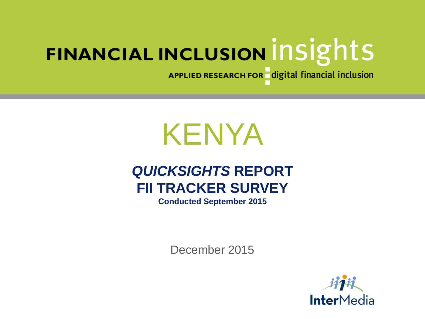APPLIED RESEARCH FOR digital financial inclusion

# KENYA

# *QUICKSIGHTS* **REPORT FII TRACKER SURVEY**

**Conducted September 2015**

December 2015

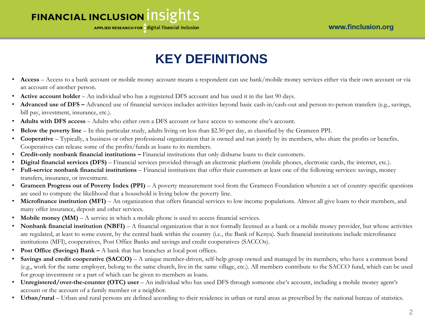APPLIED RESEARCH FOR digital financial inclusion

# **KEY DEFINITIONS**

- **Access**  Access to a bank account or mobile money account means a respondent can use bank/mobile money services either via their own account or via an account of another person.
- **Active account holder** An individual who has a registered DFS account and has used it in the last 90 days.
- **Advanced use of DFS –** Advanced use of financial services includes activities beyond basic cash-in/cash-out and person-to-person transfers (e.g., savings, bill pay, investment, insurance, etc.).
- **Adults with DFS access** Adults who either own a DFS account or have access to someone else's account.
- **Below the poverty line** In this particular study, adults living on less than \$2.50 per day, as classified by the Grameen PPI.
- **Cooperative**  Typically, a business or other professional organization that is owned and run jointly by its members, who share the profits or benefits. Cooperatives can release some of the profits/funds as loans to its members.
- **Credit-only nonbank financial institutions –** Financial institutions that only disburse loans to their customers.
- **Digital financial services (DFS)** Financial services provided through an electronic platform (mobile phones, electronic cards, the internet, etc.).
- **Full-service nonbank financial institutions**  Financial institutions that offer their customers at least one of the following services: savings, money transfers, insurance, or investment.
- **Grameen Progress out of Poverty Index (PPI)**  A poverty measurement tool from the Grameen Foundation wherein a set of country-specific questions are used to compute the likelihood that a household is living below the poverty line.
- **Microfinance institution (MFI)** An organization that offers financial services to low income populations. Almost all give loans to their members, and many offer insurance, deposit and other services.
- **Mobile money (MM)**  A service in which a mobile phone is used to access financial services.
- **Nonbank financial institution (NBFI)**  A financial organization that is not formally licensed as a bank or a mobile money provider, but whose activities are regulated, at least to some extent, by the central bank within the country (i.e., the Bank of Kenya). Such financial institutions include microfinance institutions (MFI), cooperatives, Post Office Banks and savings and credit cooperatives (SACCOs).
- **Post Office (Savings) Bank –** A bank that has branches at local post offices.
- **Savings and credit cooperative (SACCO)** A unique member-driven, self-help group owned and managed by its members, who have a common bond (e.g., work for the same employer, belong to the same church, live in the same village, etc.). All members contribute to the SACCO fund, which can be used for group investment or a part of which can be given to members as loans.
- **Unregistered/over-the-counter (OTC) user**  An individual who has used DFS through someone else's account, including a mobile money agent's account or the account of a family member or a neighbor.
- **Urban/rural**  Urban and rural persons are defined according to their residence in urban or rural areas as prescribed by the national bureau of statistics.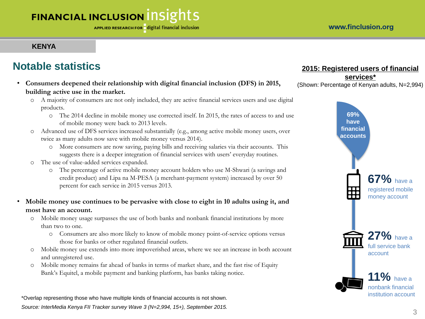### **KENYA**

# **Notable statistics**

- **Consumers deepened their relationship with digital financial inclusion (DFS) in 2015, building active use in the market.**
	- o A majority of consumers are not only included, they are active financial services users and use digital products.
		- o The 2014 decline in mobile money use corrected itself. In 2015, the rates of access to and use of mobile money were back to 2013 levels.
	- o Advanced use of DFS services increased substantially (e.g., among active mobile money users, over twice as many adults now save with mobile money versus 2014).
		- o More consumers are now saving, paying bills and receiving salaries via their accounts. This suggests there is a deeper integration of financial services with users' everyday routines.
	- o The use of value-added services expanded.
		- o The percentage of active mobile money account holders who use M-Shwari (a savings and credit product) and Lipa na M-PESA (a merchant-payment system) increased by over 50 percent for each service in 2015 versus 2013.
- **Mobile money use continues to be pervasive with close to eight in 10 adults using it, and most have an account.**
	- o Mobile money usage surpasses the use of both banks and nonbank financial institutions by more than two to one.
		- o Consumers are also more likely to know of mobile money point-of-service options versus those for banks or other regulated financial outlets.
	- o Mobile money use extends into more impoverished areas, where we see an increase in both account and unregistered use.
	- o Mobile money remains far ahead of banks in terms of market share, and the fast rise of Equity Bank's Equitel, a mobile payment and banking platform, has banks taking notice.

\*Overlap representing those who have multiple kinds of financial accounts is not shown. *Source: InterMedia Kenya FII Tracker survey Wave 3 (N=2,994, 15+), September 2015.*

### **2015: Registered users of financial**

**services\*** (Shown: Percentage of Kenyan adults, N=2,994)

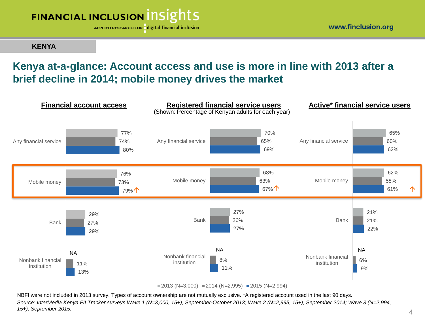

**KENYA**

### **Kenya at-a-glance: Account access and use is more in line with 2013 after a brief decline in 2014; mobile money drives the market**



 $\blacksquare$  2013 (N=3,000)  $\blacksquare$  2014 (N=2,995)  $\blacksquare$  2015 (N=2,994)

NBFI were not included in 2013 survey. Types of account ownership are not mutually exclusive. \*A registered account used in the last 90 days. *Source: InterMedia Kenya FII Tracker surveys Wave 1 (N=3,000, 15+), September-October 2013; Wave 2 (N=2,995, 15+), September 2014; Wave 3 (N=2,994, 15+), September 2015.*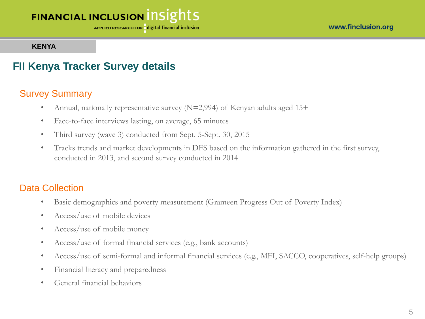APPLIED RESEARCH FOR digital financial inclusion

#### **KENYA**

## **FII Kenya Tracker Survey details**

### Survey Summary

- Annual, nationally representative survey  $(N=2,994)$  of Kenyan adults aged 15+
- Face-to-face interviews lasting, on average, 65 minutes
- Third survey (wave 3) conducted from Sept. 5-Sept. 30, 2015
- Tracks trends and market developments in DFS based on the information gathered in the first survey, conducted in 2013, and second survey conducted in 2014

### Data Collection

- Basic demographics and poverty measurement (Grameen Progress Out of Poverty Index)
- Access/use of mobile devices
- Access/use of mobile money
- Access/use of formal financial services (e.g., bank accounts)
- Access/use of semi-formal and informal financial services (e.g., MFI, SACCO, cooperatives, self-help groups)
- Financial literacy and preparedness
- General financial behaviors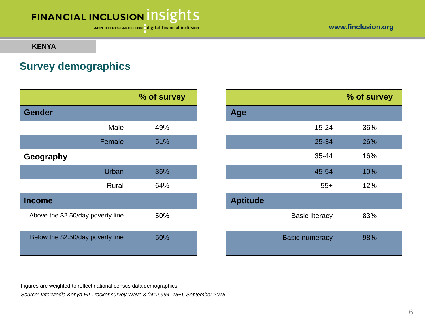APPLIED RESEARCH FOR digital financial inclusion

www.finclusion.org

#### **KENYA**

### **Survey demographics**

|                                   |        | % of survey |                 |                       |
|-----------------------------------|--------|-------------|-----------------|-----------------------|
| <b>Gender</b>                     |        |             | Age             |                       |
|                                   | Male   | 49%         |                 | $15 - 24$             |
|                                   | Female | 51%         |                 | 25-34                 |
| Geography                         |        |             |                 | 35-44                 |
|                                   | Urban  | 36%         |                 | 45-54                 |
|                                   | Rural  | 64%         |                 | $55+$                 |
| <b>Income</b>                     |        |             | <b>Aptitude</b> |                       |
| Above the \$2.50/day poverty line |        | 50%         |                 | <b>Basic literacy</b> |
| Below the \$2.50/day poverty line |        | 50%         |                 | <b>Basic numeracy</b> |

|           | % of survey |                 |                       | % of survey |
|-----------|-------------|-----------------|-----------------------|-------------|
|           |             | Age             |                       |             |
| Male      | 49%         |                 | $15 - 24$             | 36%         |
| Female    | 51%         |                 | 25-34                 | 26%         |
|           |             |                 | 35-44                 | 16%         |
| Urban     | 36%         |                 | 45-54                 | 10%         |
| Rural     | 64%         |                 | $55+$                 | 12%         |
|           |             | <b>Aptitude</b> |                       |             |
| erty line | 50%         |                 | <b>Basic literacy</b> | 83%         |
| erty line | 50%         |                 | <b>Basic numeracy</b> | 98%         |

Figures are weighted to reflect national census data demographics.

*Source: InterMedia Kenya FII Tracker survey Wave 3 (N=2,994, 15+), September 2015.*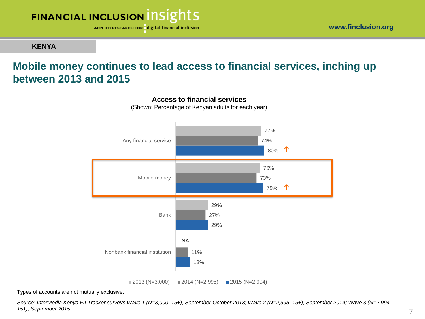

**KENYA**

## **Mobile money continues to lead access to financial services, inching up between 2013 and 2015**



**Access to financial services**

(Shown: Percentage of Kenyan adults for each year)

Types of accounts are not mutually exclusive.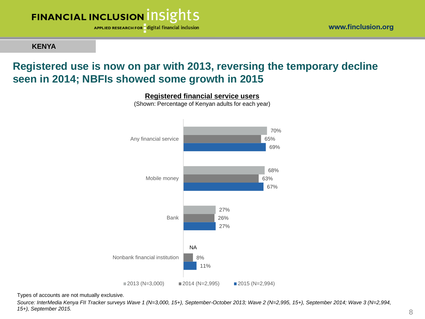APPLIED RESEARCH FOR digital financial inclusion

### **KENYA**

## **Registered use is now on par with 2013, reversing the temporary decline seen in 2014; NBFIs showed some growth in 2015**



**Registered financial service users** (Shown: Percentage of Kenyan adults for each year)

Types of accounts are not mutually exclusive.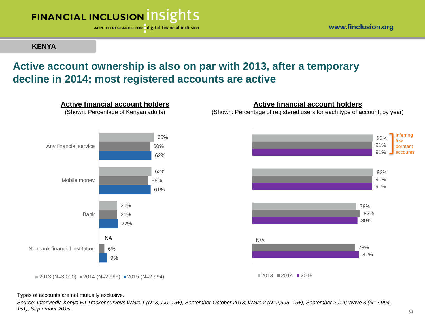

**KENYA**

### **Active account ownership is also on par with 2013, after a temporary decline in 2014; most registered accounts are active**



**Active financial account holders** (Shown: Percentage of Kenyan adults)

#### **Active financial account holders**

(Shown: Percentage of registered users for each type of account, by year)



#### Types of accounts are not mutually exclusive.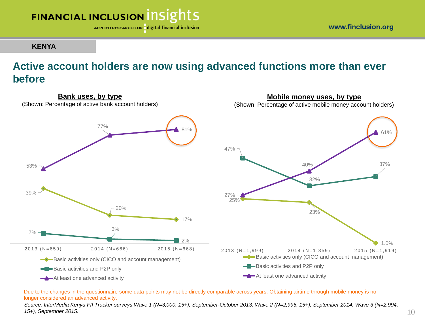

**KENYA**

### **Active account holders are now using advanced functions more than ever before**



Due to the changes in the questionnaire some data points may not be directly comparable across years. Obtaining airtime through mobile money is no longer considered an advanced activity.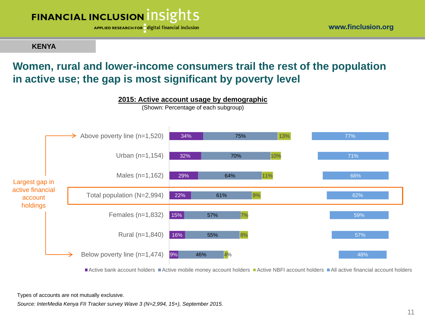

**KENYA**

### **Women, rural and lower-income consumers trail the rest of the population in active use; the gap is most significant by poverty level**



**2015: Active account usage by demographic**

Active bank account holders Active mobile money account holders Active NBFI account holders All active financial account holders

Types of accounts are not mutually exclusive.

*Source: InterMedia Kenya FII Tracker survey Wave 3 (N=2,994, 15+), September 2015.*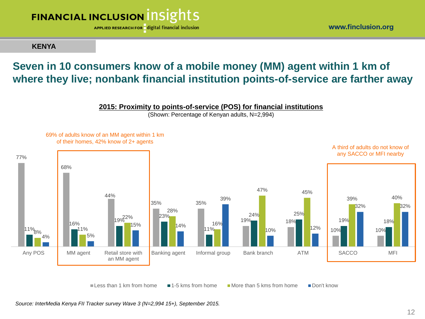

**KENYA**

# **Seven in 10 consumers know of a mobile money (MM) agent within 1 km of where they live; nonbank financial institution points-of-service are farther away**

#### **2015: Proximity to points-of-service (POS) for financial institutions**

(Shown: Percentage of Kenyan adults, N=2,994)



Less than 1 km from home  $\blacksquare$  1-5 kms from home  $\blacksquare$  More than 5 kms from home  $\blacksquare$  Don't know

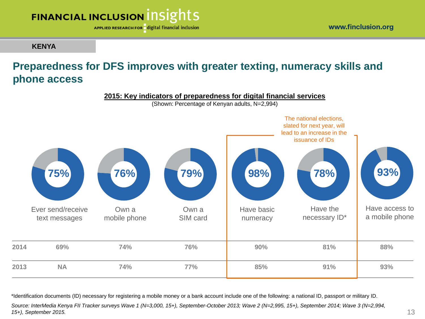APPLIED RESEARCH FOR digital financial inclusion

### **KENYA**

# **Preparedness for DFS improves with greater texting, numeracy skills and phone access**



\*Identification documents (ID) necessary for registering a mobile money or a bank account include one of the following: a national ID, passport or military ID.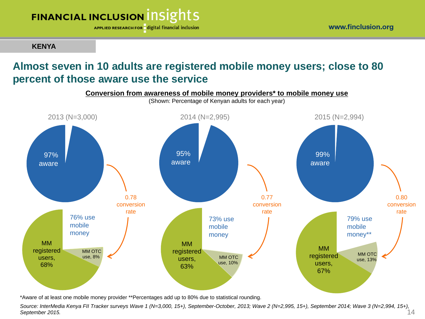

APPLIED RESEARCH FOR digital financial inclusion

**KENYA**

# **Almost seven in 10 adults are registered mobile money users; close to 80 percent of those aware use the service**



\*Aware of at least one mobile money provider \*\*Percentages add up to 80% due to statistical rounding.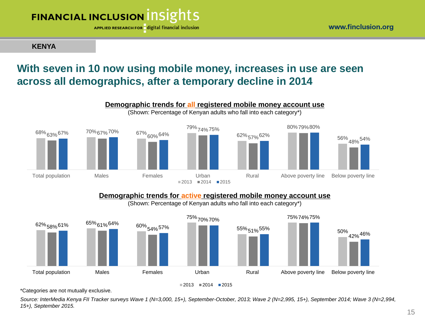

APPLIED RESEARCH FOR digital financial inclusion

**KENYA**

### **With seven in 10 now using mobile money, increases in use are seen across all demographics, after a temporary decline in 2014**



#### **Demographic trends for active registered mobile money account use**

(Shown: Percentage of Kenyan adults who fall into each category\*)



\*Categories are not mutually exclusive.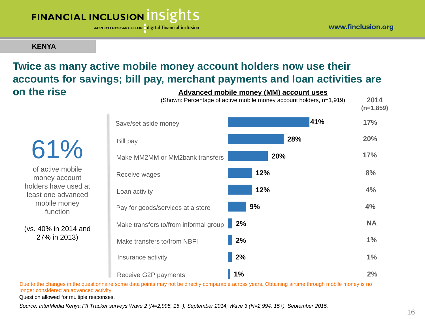APPLIED RESEARCH FOR digital financial inclusion

**KENYA**

### **Advanced mobile money (MM) account uses Twice as many active mobile money account holders now use their accounts for savings; bill pay, merchant payments and loan activities are on the rise**

61% of active mobile money account holders have used at least one advanced mobile money function

(vs. 40% in 2014 and 27% in 2013)

|                                       | (Shown: Percentage of active mobile money account holders, n=1,919) | 2014<br>$(n=1,859)$ |
|---------------------------------------|---------------------------------------------------------------------|---------------------|
| Save/set aside money                  | 41%                                                                 | 17%                 |
| <b>Bill pay</b>                       | 28%                                                                 | 20%                 |
| Make MM2MM or MM2bank transfers       | 20%                                                                 | 17%                 |
| Receive wages                         | 12%                                                                 | 8%                  |
| Loan activity                         | 12%                                                                 | 4%                  |
| Pay for goods/services at a store     | 9%                                                                  | 4%                  |
| Make transfers to/from informal group | 2%                                                                  | <b>NA</b>           |
| Make transfers to/from NBFI           | 2%                                                                  | 1%                  |
| Insurance activity                    | 2%                                                                  | 1%                  |
| Receive G2P payments                  | 1%                                                                  | 2%                  |

Due to the changes in the questionnaire some data points may not be directly comparable across years. Obtaining airtime through mobile money is no longer considered an advanced activity.

Question allowed for multiple responses.

*Source: InterMedia Kenya FII Tracker surveys Wave 2 (N=2,995, 15+), September 2014; Wave 3 (N=2,994, 15+), September 2015.*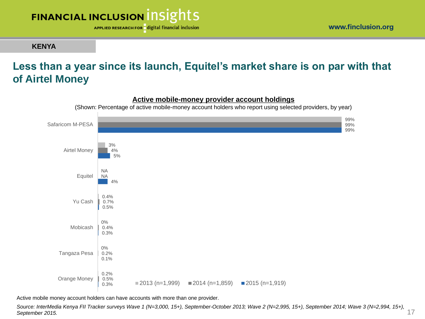

**KENYA**

### **Less than a year since its launch, Equitel's market share is on par with that of Airtel Money**



Active mobile money account holders can have accounts with more than one provider.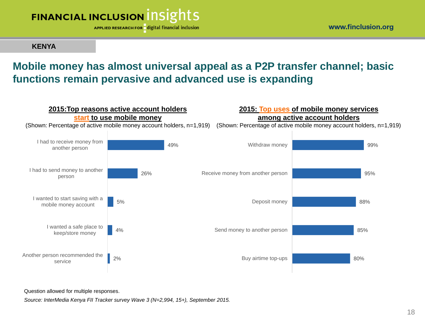

**KENYA**

### **Mobile money has almost universal appeal as a P2P transfer channel; basic functions remain pervasive and advanced use is expanding**



Question allowed for multiple responses.

*Source: InterMedia Kenya FII Tracker survey Wave 3 (N=2,994, 15+), September 2015.*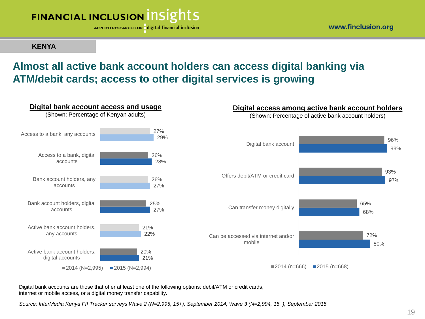

#### **KENYA**

# **Almost all active bank account holders can access digital banking via ATM/debit cards; access to other digital services is growing**



Digital bank accounts are those that offer at least one of the following options: debit/ATM or credit cards, internet or mobile access, or a digital money transfer capability.

*Source: InterMedia Kenya FII Tracker surveys Wave 2 (N=2,995, 15+), September 2014; Wave 3 (N=2,994, 15+), September 2015.*

#### www.finclusion.org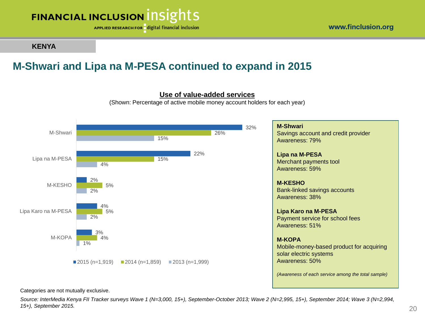APPLIED RESEARCH FOR digital financial inclusion

### **KENYA**

# **M-Shwari and Lipa na M-PESA continued to expand in 2015**



#### **Use of value-added services**

(Shown: Percentage of active mobile money account holders for each year)

**M-Shwari** Savings account and credit provider Awareness: 79% **Lipa na M-PESA** Merchant payments tool Awareness: 59% **M-KESHO** Bank-linked savings accounts Awareness: 38% **Lipa Karo na M-PESA** Payment service for school fees Awareness: 51% **M-KOPA** Mobile-money-based product for acquiring solar electric systems Awareness: 50% *(Awareness of each service among the total sample)*

Categories are not mutually exclusive.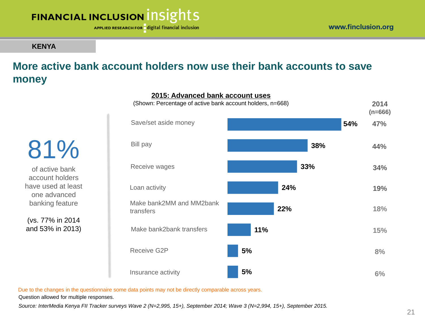

APPLIED RESEARCH FOR digital financial inclusion

### **KENYA**

# **More active bank account holders now use their bank accounts to save money**

81% of active bank account holders have used at least one advanced

(vs. 77% in 2014 and 53% in 2013)

banking feature



Due to the changes in the questionnaire some data points may not be directly comparable across years.

Question allowed for multiple responses.

*Source: InterMedia Kenya FII Tracker surveys Wave 2 (N=2,995, 15+), September 2014; Wave 3 (N=2,994, 15+), September 2015.*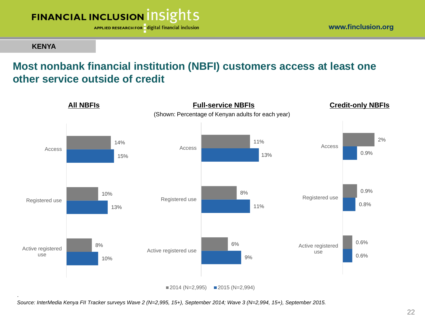

APPLIED RESEARCH FOR digital financial inclusion

#### **KENYA**

# **Most nonbank financial institution (NBFI) customers access at least one other service outside of credit**



*Source: InterMedia Kenya FII Tracker surveys Wave 2 (N=2,995, 15+), September 2014; Wave 3 (N=2,994, 15+), September 2015.*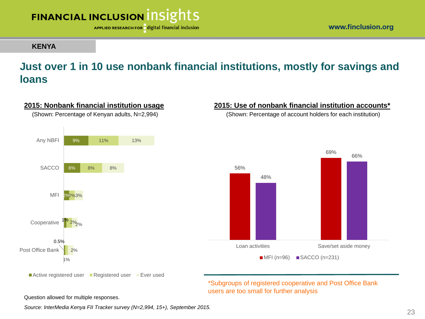

**2015: Nonbank financial institution usage** (Shown: Percentage of Kenyan adults, N=2,994)

APPLIED RESEARCH FOR digital financial inclusion

#### **KENYA**

### **Just over 1 in 10 use nonbank financial institutions, mostly for savings and loans**

#### 0.5% 1% 2% 6% 9% 1% 2% 2% 8% 11% 2% 2% 3% 8% 13% Post Office Bank Cooperative MFI SACCO Any NBFI 56% 69% 48% 66% Loan activities Save/set aside money  $MFI$  (n=96)  $SACCO$  (n=231)



\*Subgroups of registered cooperative and Post Office Bank users are too small for further analysis

**2015: Use of nonbank financial institution accounts\*** (Shown: Percentage of account holders for each institution)

Question allowed for multiple responses.

*Source: InterMedia Kenya FII Tracker survey (N=2,994, 15+), September 2015.*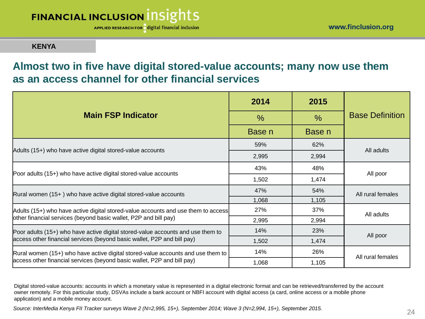APPLIED RESEARCH FOR digital financial inclusion

**KENYA**

### **Almost two in five have digital stored-value accounts; many now use them as an access channel for other financial services**

|                                                                                   | 2014          | 2015          |                        |  |
|-----------------------------------------------------------------------------------|---------------|---------------|------------------------|--|
| <b>Main FSP Indicator</b>                                                         | $\frac{0}{0}$ | $\frac{0}{0}$ | <b>Base Definition</b> |  |
|                                                                                   | Base n        | Base n        |                        |  |
|                                                                                   | 59%           | 62%           | All adults             |  |
| Adults (15+) who have active digital stored-value accounts                        | 2,995         | 2,994         |                        |  |
|                                                                                   | 43%           | 48%           | All poor               |  |
| Poor adults (15+) who have active digital stored-value accounts                   | 1,502         | 1,474         |                        |  |
| Rural women (15+) who have active digital stored-value accounts                   | 47%           | 54%           | All rural females      |  |
|                                                                                   | 1,068         | 1,105         |                        |  |
| Adults (15+) who have active digital stored-value accounts and use them to access | 27%           | 37%           | All adults             |  |
| other financial services (beyond basic wallet, P2P and bill pay)                  | 2,995         | 2,994         |                        |  |
| Poor adults (15+) who have active digital stored-value accounts and use them to   | 14%           | 23%           | All poor               |  |
| access other financial services (beyond basic wallet, P2P and bill pay)           | 1,502         | 1,474         |                        |  |
| Rural women (15+) who have active digital stored-value accounts and use them to   | 14%           | 26%           | All rural females      |  |
| access other financial services (beyond basic wallet, P2P and bill pay)           | 1,068         | 1,105         |                        |  |

Digital stored-value accounts: accounts in which a monetary value is represented in a digital electronic format and can be retrieved/transferred by the account owner remotely. For this particular study, DSVAs include a bank account or NBFI account with digital access (a card, online access or a mobile phone application) and a mobile money account.

24 *Source: InterMedia Kenya FII Tracker surveys Wave 2 (N=2,995, 15+), September 2014; Wave 3 (N=2,994, 15+), September 2015.*